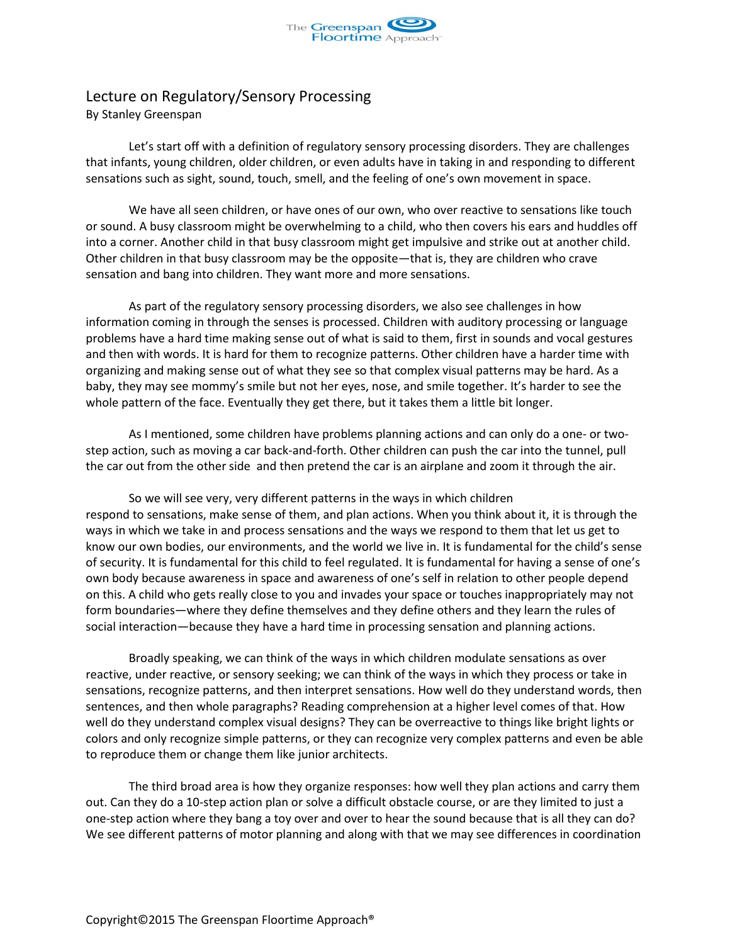

## Lecture on Regulatory/Sensory Processing By Stanley Greenspan

Let's start off with a definition of regulatory sensory processing disorders. They are challenges that infants, young children, older children, or even adults have in taking in and responding to different sensations such as sight, sound, touch, smell, and the feeling of one's own movement in space.

We have all seen children, or have ones of our own, who over reactive to sensations like touch or sound. A busy classroom might be overwhelming to a child, who then covers his ears and huddles off into a corner. Another child in that busy classroom might get impulsive and strike out at another child. Other children in that busy classroom may be the opposite—that is, they are children who crave sensation and bang into children. They want more and more sensations.

As part of the regulatory sensory processing disorders, we also see challenges in how information coming in through the senses is processed. Children with auditory processing or language problems have a hard time making sense out of what is said to them, first in sounds and vocal gestures and then with words. It is hard for them to recognize patterns. Other children have a harder time with organizing and making sense out of what they see so that complex visual patterns may be hard. As a baby, they may see mommy's smile but not her eyes, nose, and smile together. It's harder to see the whole pattern of the face. Eventually they get there, but it takes them a little bit longer.

As I mentioned, some children have problems planning actions and can only do a one- or twostep action, such as moving a car back-and-forth. Other children can push the car into the tunnel, pull the car out from the other side and then pretend the car is an airplane and zoom it through the air.

So we will see very, very different patterns in the ways in which children respond to sensations, make sense of them, and plan actions. When you think about it, it is through the ways in which we take in and process sensations and the ways we respond to them that let us get to know our own bodies, our environments, and the world we live in. It is fundamental for the child's sense of security. It is fundamental for this child to feel regulated. It is fundamental for having a sense of one's own body because awareness in space and awareness of one's self in relation to other people depend on this. A child who gets really close to you and invades your space or touches inappropriately may not form boundaries—where they define themselves and they define others and they learn the rules of social interaction—because they have a hard time in processing sensation and planning actions.

Broadly speaking, we can think of the ways in which children modulate sensations as over reactive, under reactive, or sensory seeking; we can think of the ways in which they process or take in sensations, recognize patterns, and then interpret sensations. How well do they understand words, then sentences, and then whole paragraphs? Reading comprehension at a higher level comes of that. How well do they understand complex visual designs? They can be overreactive to things like bright lights or colors and only recognize simple patterns, or they can recognize very complex patterns and even be able to reproduce them or change them like junior architects.

The third broad area is how they organize responses: how well they plan actions and carry them out. Can they do a 10-step action plan or solve a difficult obstacle course, or are they limited to just a one-step action where they bang a toy over and over to hear the sound because that is all they can do? We see different patterns of motor planning and along with that we may see differences in coordination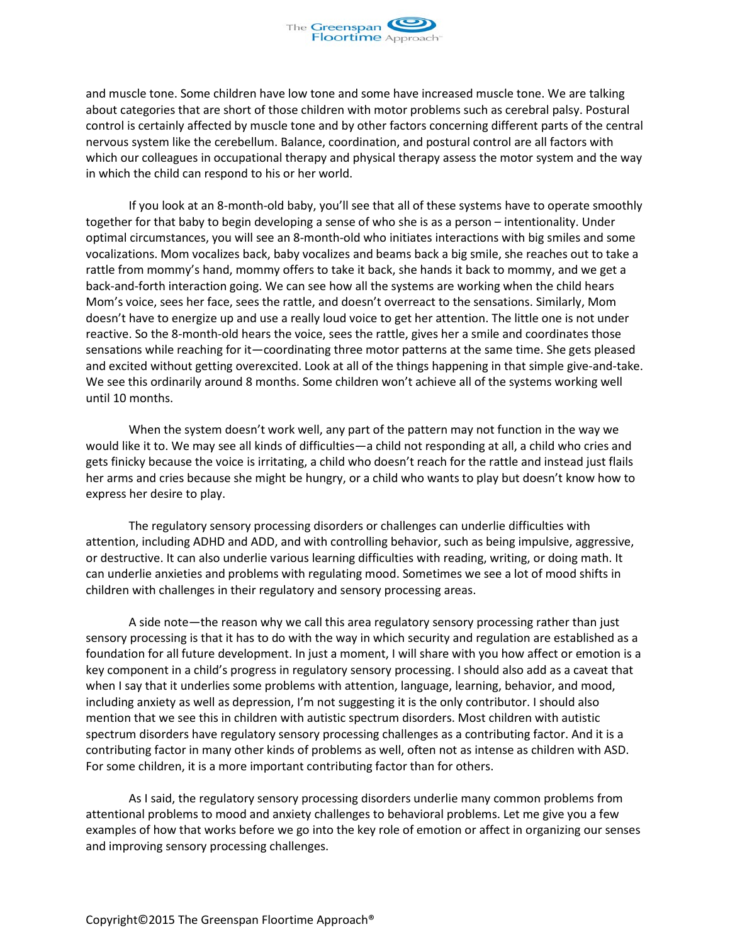

and muscle tone. Some children have low tone and some have increased muscle tone. We are talking about categories that are short of those children with motor problems such as cerebral palsy. Postural control is certainly affected by muscle tone and by other factors concerning different parts of the central nervous system like the cerebellum. Balance, coordination, and postural control are all factors with which our colleagues in occupational therapy and physical therapy assess the motor system and the way in which the child can respond to his or her world.

If you look at an 8-month-old baby, you'll see that all of these systems have to operate smoothly together for that baby to begin developing a sense of who she is as a person – intentionality. Under optimal circumstances, you will see an 8-month-old who initiates interactions with big smiles and some vocalizations. Mom vocalizes back, baby vocalizes and beams back a big smile, she reaches out to take a rattle from mommy's hand, mommy offers to take it back, she hands it back to mommy, and we get a back-and-forth interaction going. We can see how all the systems are working when the child hears Mom's voice, sees her face, sees the rattle, and doesn't overreact to the sensations. Similarly, Mom doesn't have to energize up and use a really loud voice to get her attention. The little one is not under reactive. So the 8-month-old hears the voice, sees the rattle, gives her a smile and coordinates those sensations while reaching for it—coordinating three motor patterns at the same time. She gets pleased and excited without getting overexcited. Look at all of the things happening in that simple give-and-take. We see this ordinarily around 8 months. Some children won't achieve all of the systems working well until 10 months.

When the system doesn't work well, any part of the pattern may not function in the way we would like it to. We may see all kinds of difficulties—a child not responding at all, a child who cries and gets finicky because the voice is irritating, a child who doesn't reach for the rattle and instead just flails her arms and cries because she might be hungry, or a child who wants to play but doesn't know how to express her desire to play.

The regulatory sensory processing disorders or challenges can underlie difficulties with attention, including ADHD and ADD, and with controlling behavior, such as being impulsive, aggressive, or destructive. It can also underlie various learning difficulties with reading, writing, or doing math. It can underlie anxieties and problems with regulating mood. Sometimes we see a lot of mood shifts in children with challenges in their regulatory and sensory processing areas.

A side note—the reason why we call this area regulatory sensory processing rather than just sensory processing is that it has to do with the way in which security and regulation are established as a foundation for all future development. In just a moment, I will share with you how affect or emotion is a key component in a child's progress in regulatory sensory processing. I should also add as a caveat that when I say that it underlies some problems with attention, language, learning, behavior, and mood, including anxiety as well as depression, I'm not suggesting it is the only contributor. I should also mention that we see this in children with autistic spectrum disorders. Most children with autistic spectrum disorders have regulatory sensory processing challenges as a contributing factor. And it is a contributing factor in many other kinds of problems as well, often not as intense as children with ASD. For some children, it is a more important contributing factor than for others.

As I said, the regulatory sensory processing disorders underlie many common problems from attentional problems to mood and anxiety challenges to behavioral problems. Let me give you a few examples of how that works before we go into the key role of emotion or affect in organizing our senses and improving sensory processing challenges.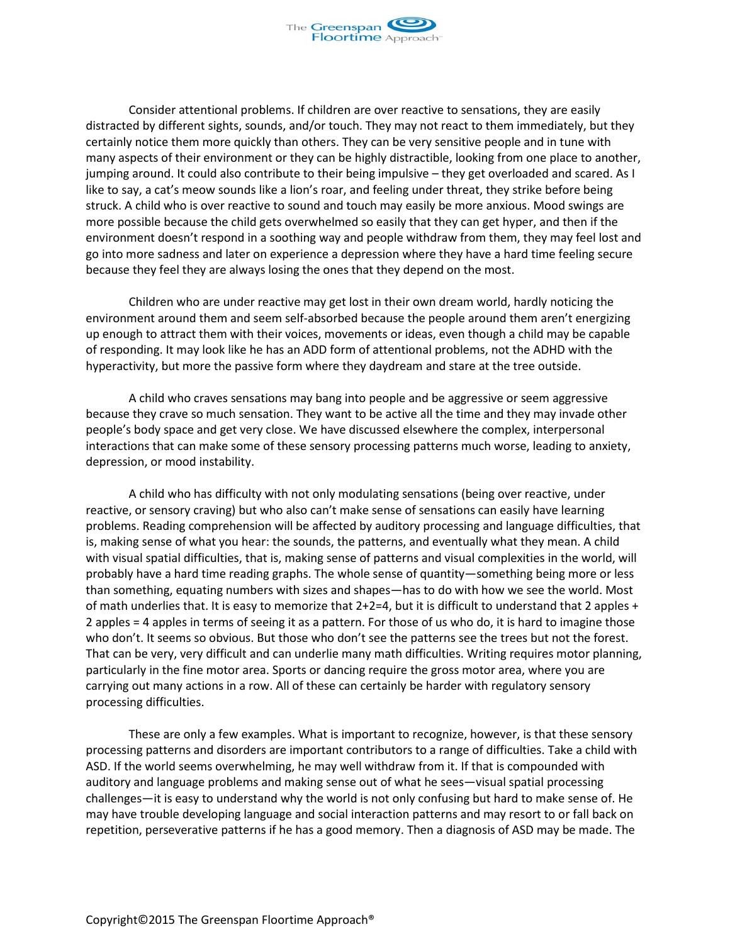

Consider attentional problems. If children are over reactive to sensations, they are easily distracted by different sights, sounds, and/or touch. They may not react to them immediately, but they certainly notice them more quickly than others. They can be very sensitive people and in tune with many aspects of their environment or they can be highly distractible, looking from one place to another, jumping around. It could also contribute to their being impulsive – they get overloaded and scared. As I like to say, a cat's meow sounds like a lion's roar, and feeling under threat, they strike before being struck. A child who is over reactive to sound and touch may easily be more anxious. Mood swings are more possible because the child gets overwhelmed so easily that they can get hyper, and then if the environment doesn't respond in a soothing way and people withdraw from them, they may feel lost and go into more sadness and later on experience a depression where they have a hard time feeling secure because they feel they are always losing the ones that they depend on the most.

Children who are under reactive may get lost in their own dream world, hardly noticing the environment around them and seem self-absorbed because the people around them aren't energizing up enough to attract them with their voices, movements or ideas, even though a child may be capable of responding. It may look like he has an ADD form of attentional problems, not the ADHD with the hyperactivity, but more the passive form where they daydream and stare at the tree outside.

A child who craves sensations may bang into people and be aggressive or seem aggressive because they crave so much sensation. They want to be active all the time and they may invade other people's body space and get very close. We have discussed elsewhere the complex, interpersonal interactions that can make some of these sensory processing patterns much worse, leading to anxiety, depression, or mood instability.

A child who has difficulty with not only modulating sensations (being over reactive, under reactive, or sensory craving) but who also can't make sense of sensations can easily have learning problems. Reading comprehension will be affected by auditory processing and language difficulties, that is, making sense of what you hear: the sounds, the patterns, and eventually what they mean. A child with visual spatial difficulties, that is, making sense of patterns and visual complexities in the world, will probably have a hard time reading graphs. The whole sense of quantity—something being more or less than something, equating numbers with sizes and shapes—has to do with how we see the world. Most of math underlies that. It is easy to memorize that 2+2=4, but it is difficult to understand that 2 apples + 2 apples = 4 apples in terms of seeing it as a pattern. For those of us who do, it is hard to imagine those who don't. It seems so obvious. But those who don't see the patterns see the trees but not the forest. That can be very, very difficult and can underlie many math difficulties. Writing requires motor planning, particularly in the fine motor area. Sports or dancing require the gross motor area, where you are carrying out many actions in a row. All of these can certainly be harder with regulatory sensory processing difficulties.

These are only a few examples. What is important to recognize, however, is that these sensory processing patterns and disorders are important contributors to a range of difficulties. Take a child with ASD. If the world seems overwhelming, he may well withdraw from it. If that is compounded with auditory and language problems and making sense out of what he sees—visual spatial processing challenges—it is easy to understand why the world is not only confusing but hard to make sense of. He may have trouble developing language and social interaction patterns and may resort to or fall back on repetition, perseverative patterns if he has a good memory. Then a diagnosis of ASD may be made. The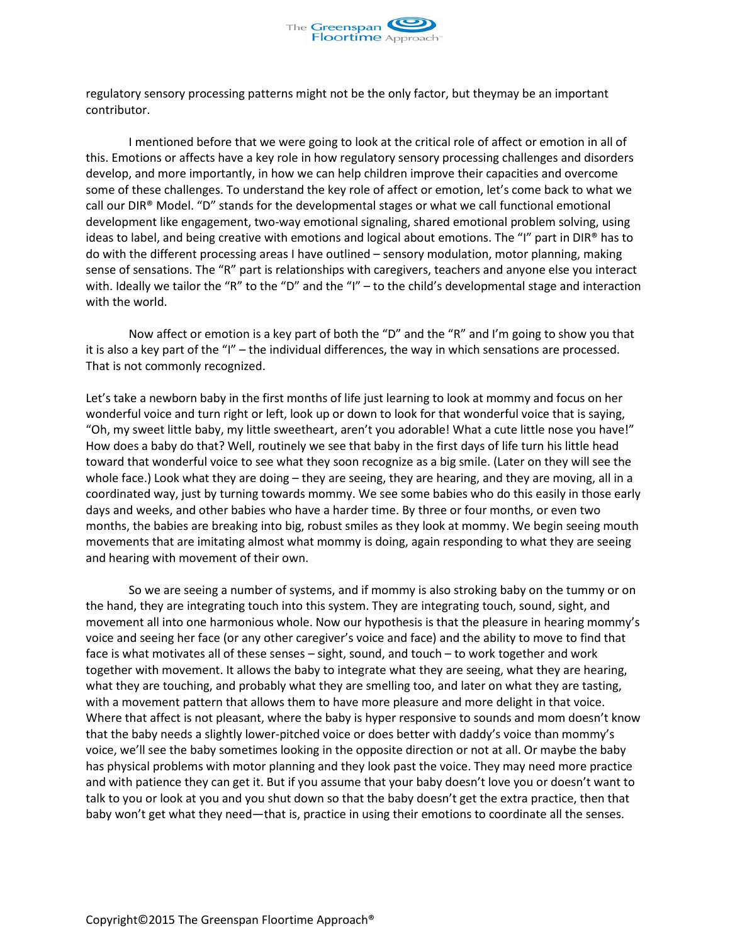

regulatory sensory processing patterns might not be the only factor, but theymay be an important contributor.

I mentioned before that we were going to look at the critical role of affect or emotion in all of this. Emotions or affects have a key role in how regulatory sensory processing challenges and disorders develop, and more importantly, in how we can help children improve their capacities and overcome some of these challenges. To understand the key role of affect or emotion, let's come back to what we call our DIR® Model. "D" stands for the developmental stages or what we call functional emotional development like engagement, two-way emotional signaling, shared emotional problem solving, using ideas to label, and being creative with emotions and logical about emotions. The "I" part in DIR® has to do with the different processing areas I have outlined – sensory modulation, motor planning, making sense of sensations. The "R" part is relationships with caregivers, teachers and anyone else you interact with. Ideally we tailor the "R" to the "D" and the "I" – to the child's developmental stage and interaction with the world.

Now affect or emotion is a key part of both the "D" and the "R" and I'm going to show you that it is also a key part of the "I" – the individual differences, the way in which sensations are processed. That is not commonly recognized.

Let's take a newborn baby in the first months of life just learning to look at mommy and focus on her wonderful voice and turn right or left, look up or down to look for that wonderful voice that is saying, "Oh, my sweet little baby, my little sweetheart, aren't you adorable! What a cute little nose you have!" How does a baby do that? Well, routinely we see that baby in the first days of life turn his little head toward that wonderful voice to see what they soon recognize as a big smile. (Later on they will see the whole face.) Look what they are doing – they are seeing, they are hearing, and they are moving, all in a coordinated way, just by turning towards mommy. We see some babies who do this easily in those early days and weeks, and other babies who have a harder time. By three or four months, or even two months, the babies are breaking into big, robust smiles as they look at mommy. We begin seeing mouth movements that are imitating almost what mommy is doing, again responding to what they are seeing and hearing with movement of their own.

So we are seeing a number of systems, and if mommy is also stroking baby on the tummy or on the hand, they are integrating touch into this system. They are integrating touch, sound, sight, and movement all into one harmonious whole. Now our hypothesis is that the pleasure in hearing mommy's voice and seeing her face (or any other caregiver's voice and face) and the ability to move to find that face is what motivates all of these senses – sight, sound, and touch – to work together and work together with movement. It allows the baby to integrate what they are seeing, what they are hearing, what they are touching, and probably what they are smelling too, and later on what they are tasting, with a movement pattern that allows them to have more pleasure and more delight in that voice. Where that affect is not pleasant, where the baby is hyper responsive to sounds and mom doesn't know that the baby needs a slightly lower-pitched voice or does better with daddy's voice than mommy's voice, we'll see the baby sometimes looking in the opposite direction or not at all. Or maybe the baby has physical problems with motor planning and they look past the voice. They may need more practice and with patience they can get it. But if you assume that your baby doesn't love you or doesn't want to talk to you or look at you and you shut down so that the baby doesn't get the extra practice, then that baby won't get what they need—that is, practice in using their emotions to coordinate all the senses.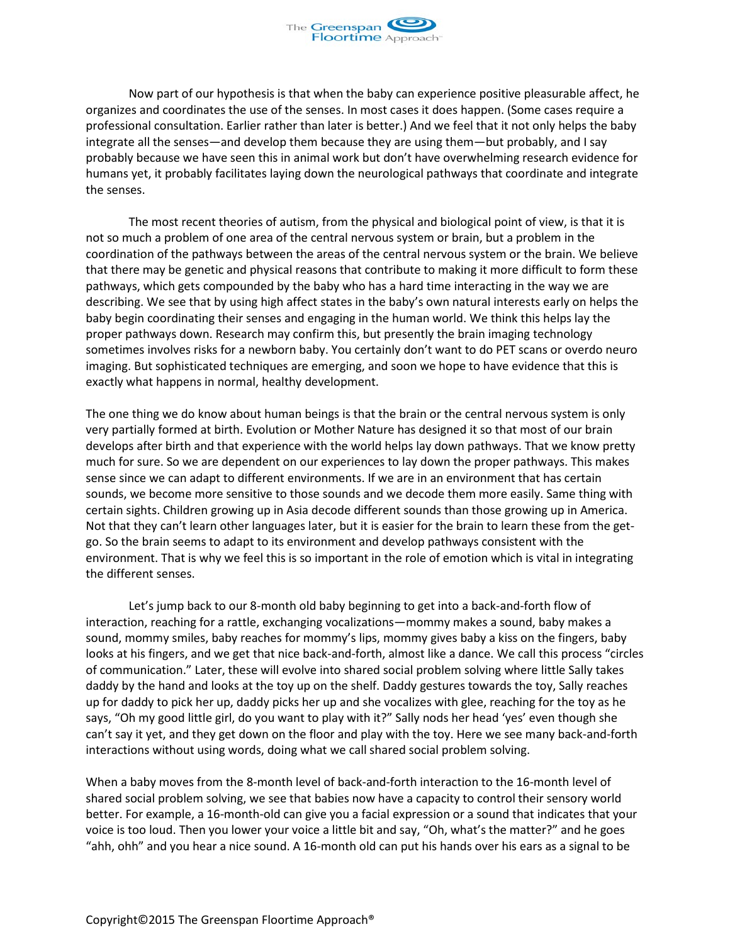

Now part of our hypothesis is that when the baby can experience positive pleasurable affect, he organizes and coordinates the use of the senses. In most cases it does happen. (Some cases require a professional consultation. Earlier rather than later is better.) And we feel that it not only helps the baby integrate all the senses—and develop them because they are using them—but probably, and I say probably because we have seen this in animal work but don't have overwhelming research evidence for humans yet, it probably facilitates laying down the neurological pathways that coordinate and integrate the senses.

The most recent theories of autism, from the physical and biological point of view, is that it is not so much a problem of one area of the central nervous system or brain, but a problem in the coordination of the pathways between the areas of the central nervous system or the brain. We believe that there may be genetic and physical reasons that contribute to making it more difficult to form these pathways, which gets compounded by the baby who has a hard time interacting in the way we are describing. We see that by using high affect states in the baby's own natural interests early on helps the baby begin coordinating their senses and engaging in the human world. We think this helps lay the proper pathways down. Research may confirm this, but presently the brain imaging technology sometimes involves risks for a newborn baby. You certainly don't want to do PET scans or overdo neuro imaging. But sophisticated techniques are emerging, and soon we hope to have evidence that this is exactly what happens in normal, healthy development.

The one thing we do know about human beings is that the brain or the central nervous system is only very partially formed at birth. Evolution or Mother Nature has designed it so that most of our brain develops after birth and that experience with the world helps lay down pathways. That we know pretty much for sure. So we are dependent on our experiences to lay down the proper pathways. This makes sense since we can adapt to different environments. If we are in an environment that has certain sounds, we become more sensitive to those sounds and we decode them more easily. Same thing with certain sights. Children growing up in Asia decode different sounds than those growing up in America. Not that they can't learn other languages later, but it is easier for the brain to learn these from the getgo. So the brain seems to adapt to its environment and develop pathways consistent with the environment. That is why we feel this is so important in the role of emotion which is vital in integrating the different senses.

Let's jump back to our 8-month old baby beginning to get into a back-and-forth flow of interaction, reaching for a rattle, exchanging vocalizations—mommy makes a sound, baby makes a sound, mommy smiles, baby reaches for mommy's lips, mommy gives baby a kiss on the fingers, baby looks at his fingers, and we get that nice back-and-forth, almost like a dance. We call this process "circles of communication." Later, these will evolve into shared social problem solving where little Sally takes daddy by the hand and looks at the toy up on the shelf. Daddy gestures towards the toy, Sally reaches up for daddy to pick her up, daddy picks her up and she vocalizes with glee, reaching for the toy as he says, "Oh my good little girl, do you want to play with it?" Sally nods her head 'yes' even though she can't say it yet, and they get down on the floor and play with the toy. Here we see many back-and-forth interactions without using words, doing what we call shared social problem solving.

When a baby moves from the 8-month level of back-and-forth interaction to the 16-month level of shared social problem solving, we see that babies now have a capacity to control their sensory world better. For example, a 16-month-old can give you a facial expression or a sound that indicates that your voice is too loud. Then you lower your voice a little bit and say, "Oh, what's the matter?" and he goes "ahh, ohh" and you hear a nice sound. A 16-month old can put his hands over his ears as a signal to be